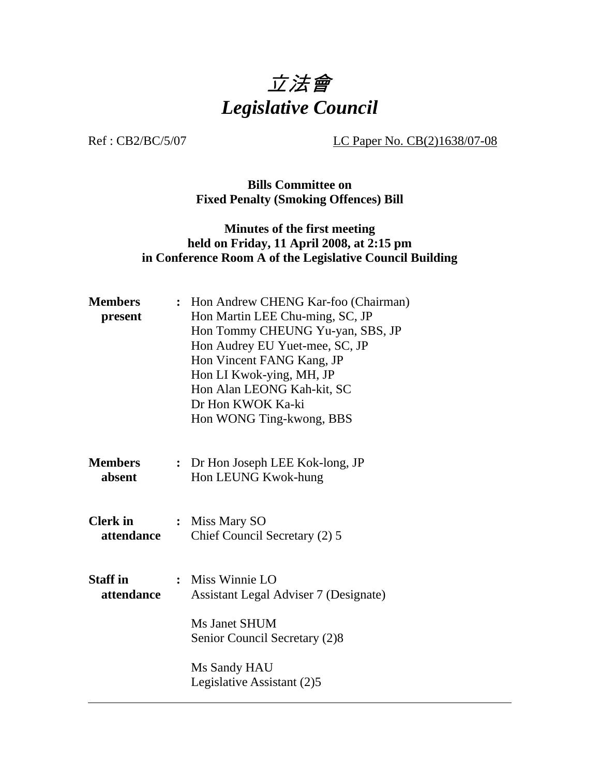

Ref : CB2/BC/5/07 LC Paper No. CB(2)1638/07-08

### **Bills Committee on Fixed Penalty (Smoking Offences) Bill**

## **Minutes of the first meeting held on Friday, 11 April 2008, at 2:15 pm in Conference Room A of the Legislative Council Building**

| <b>Members</b><br>present     | : Hon Andrew CHENG Kar-foo (Chairman)<br>Hon Martin LEE Chu-ming, SC, JP<br>Hon Tommy CHEUNG Yu-yan, SBS, JP<br>Hon Audrey EU Yuet-mee, SC, JP<br>Hon Vincent FANG Kang, JP<br>Hon LI Kwok-ying, MH, JP<br>Hon Alan LEONG Kah-kit, SC<br>Dr Hon KWOK Ka-ki<br>Hon WONG Ting-kwong, BBS |  |
|-------------------------------|----------------------------------------------------------------------------------------------------------------------------------------------------------------------------------------------------------------------------------------------------------------------------------------|--|
| <b>Members</b><br>absent      | : Dr Hon Joseph LEE Kok-long, JP<br>Hon LEUNG Kwok-hung                                                                                                                                                                                                                                |  |
| <b>Clerk</b> in<br>attendance | : Miss Mary SO<br>Chief Council Secretary (2) 5                                                                                                                                                                                                                                        |  |
| <b>Staff</b> in<br>attendance | : Miss Winnie LO<br><b>Assistant Legal Adviser 7 (Designate)</b><br>Ms Janet SHUM<br>Senior Council Secretary (2)8                                                                                                                                                                     |  |
|                               | Ms Sandy HAU<br>Legislative Assistant (2)5                                                                                                                                                                                                                                             |  |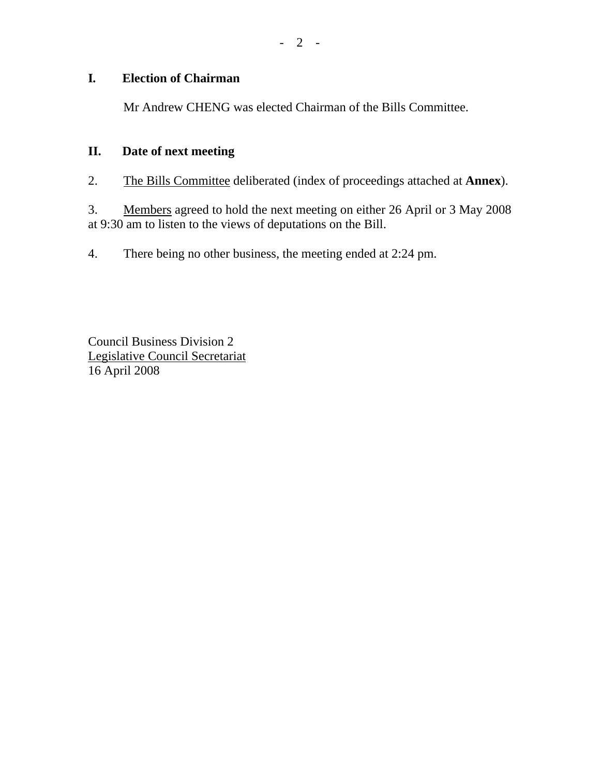# **I***.* **Election of Chairman**

1. Mr Andrew CHENG was elected Chairman of the Bills Committee.

#### **II. Date of next meeting**

2. The Bills Committee deliberated (index of proceedings attached at **Annex**).

3. Members agreed to hold the next meeting on either 26 April or 3 May 2008 at 9:30 am to listen to the views of deputations on the Bill.

4. There being no other business, the meeting ended at 2:24 pm.

Council Business Division 2 Legislative Council Secretariat 16 April 2008